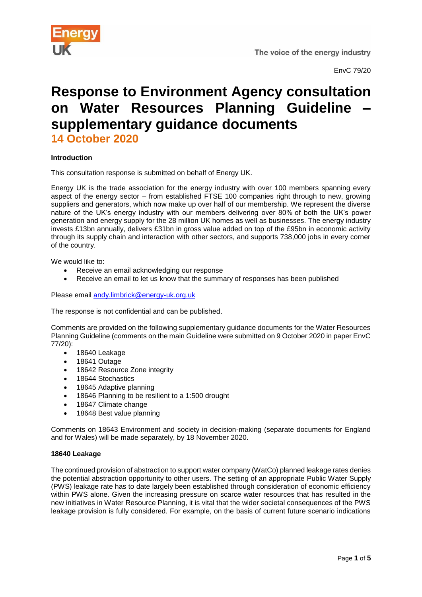

# **Response to Environment Agency consultation on Water Resources Planning Guideline – supplementary guidance documents 14 October 2020**

# **Introduction**

This consultation response is submitted on behalf of Energy UK.

Energy UK is the trade association for the energy industry with over 100 members spanning every aspect of the energy sector – from established FTSE 100 companies right through to new, growing suppliers and generators, which now make up over half of our membership. We represent the diverse nature of the UK's energy industry with our members delivering over 80% of both the UK's power generation and energy supply for the 28 million UK homes as well as businesses. The energy industry invests £13bn annually, delivers £31bn in gross value added on top of the £95bn in economic activity through its supply chain and interaction with other sectors, and supports 738,000 jobs in every corner of the country.

We would like to:

- Receive an email acknowledging our response
- Receive an email to let us know that the summary of responses has been published

Please email [andy.limbrick@energy-uk.org.uk](mailto:andy.limbrick@energy-uk.org.uk)

The response is not confidential and can be published.

Comments are provided on the following supplementary guidance documents for the Water Resources Planning Guideline (comments on the main Guideline were submitted on 9 October 2020 in paper EnvC 77/20):

- 18640 Leakage
- 18641 Outage
- 18642 Resource Zone integrity
- 18644 Stochastics
- 18645 Adaptive planning
- 18646 Planning to be resilient to a 1:500 drought
- 18647 Climate change
- 18648 Best value planning

Comments on 18643 Environment and society in decision-making (separate documents for England and for Wales) will be made separately, by 18 November 2020.

# **18640 Leakage**

The continued provision of abstraction to support water company (WatCo) planned leakage rates denies the potential abstraction opportunity to other users. The setting of an appropriate Public Water Supply (PWS) leakage rate has to date largely been established through consideration of economic efficiency within PWS alone. Given the increasing pressure on scarce water resources that has resulted in the new initiatives in Water Resource Planning, it is vital that the wider societal consequences of the PWS leakage provision is fully considered. For example, on the basis of current future scenario indications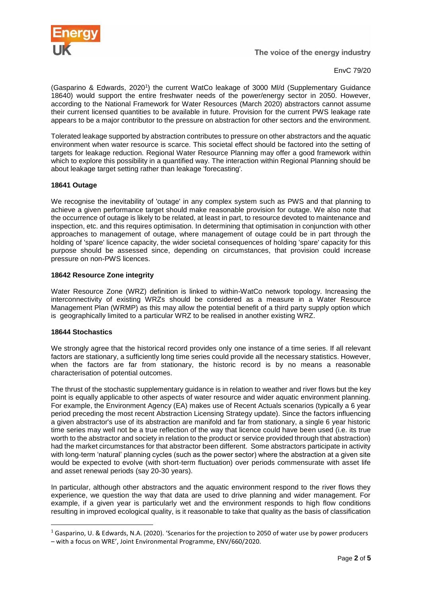

EnvC 79/20

(Gasparino & Edwards, 2020<sup>1</sup> ) the current WatCo leakage of 3000 Ml/d (Supplementary Guidance 18640) would support the entire freshwater needs of the power/energy sector in 2050. However, according to the National Framework for Water Resources (March 2020) abstractors cannot assume their current licensed quantities to be available in future. Provision for the current PWS leakage rate appears to be a major contributor to the pressure on abstraction for other sectors and the environment.

Tolerated leakage supported by abstraction contributes to pressure on other abstractors and the aquatic environment when water resource is scarce. This societal effect should be factored into the setting of targets for leakage reduction. Regional Water Resource Planning may offer a good framework within which to explore this possibility in a quantified way. The interaction within Regional Planning should be about leakage target setting rather than leakage 'forecasting'.

## **18641 Outage**

We recognise the inevitability of 'outage' in any complex system such as PWS and that planning to achieve a given performance target should make reasonable provision for outage. We also note that the occurrence of outage is likely to be related, at least in part, to resource devoted to maintenance and inspection, etc. and this requires optimisation. In determining that optimisation in conjunction with other approaches to management of outage, where management of outage could be in part through the holding of 'spare' licence capacity, the wider societal consequences of holding 'spare' capacity for this purpose should be assessed since, depending on circumstances, that provision could increase pressure on non-PWS licences.

# **18642 Resource Zone integrity**

Water Resource Zone (WRZ) definition is linked to within-WatCo network topology. Increasing the interconnectivity of existing WRZs should be considered as a measure in a Water Resource Management Plan (WRMP) as this may allow the potential benefit of a third party supply option which is geographically limited to a particular WRZ to be realised in another existing WRZ.

#### **18644 Stochastics**

**.** 

We strongly agree that the historical record provides only one instance of a time series. If all relevant factors are stationary, a sufficiently long time series could provide all the necessary statistics. However, when the factors are far from stationary, the historic record is by no means a reasonable characterisation of potential outcomes.

The thrust of the stochastic supplementary guidance is in relation to weather and river flows but the key point is equally applicable to other aspects of water resource and wider aquatic environment planning. For example, the Environment Agency (EA) makes use of Recent Actuals scenarios (typically a 6 year period preceding the most recent Abstraction Licensing Strategy update). Since the factors influencing a given abstractor's use of its abstraction are manifold and far from stationary, a single 6 year historic time series may well not be a true reflection of the way that licence could have been used (i.e. its true worth to the abstractor and society in relation to the product or service provided through that abstraction) had the market circumstances for that abstractor been different. Some abstractors participate in activity with long-term 'natural' planning cycles (such as the power sector) where the abstraction at a given site would be expected to evolve (with short-term fluctuation) over periods commensurate with asset life and asset renewal periods (say 20-30 years).

In particular, although other abstractors and the aquatic environment respond to the river flows they experience, we question the way that data are used to drive planning and wider management. For example, if a given year is particularly wet and the environment responds to high flow conditions resulting in improved ecological quality, is it reasonable to take that quality as the basis of classification

<sup>1</sup> Gasparino, U. & Edwards, N.A. (2020). 'Scenarios for the projection to 2050 of water use by power producers – with a focus on WRE', Joint Environmental Programme, ENV/660/2020.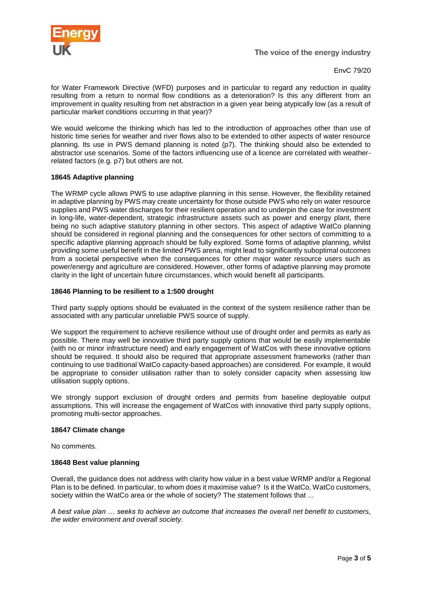

The voice of the energy industry

EnvC 79/20

for Water Framework Directive (WFD) purposes and in particular to regard any reduction in quality resulting from a return to normal flow conditions as a deterioration? Is this any different from an improvement in quality resulting from net abstraction in a given year being atypically low (as a result of particular market conditions occurring in that year)?

We would welcome the thinking which has led to the introduction of approaches other than use of historic time series for weather and river flows also to be extended to other aspects of water resource planning. Its use in PWS demand planning is noted (p7). The thinking should also be extended to abstractor use scenarios. Some of the factors influencing use of a licence are correlated with weatherrelated factors (e.g. p7) but others are not.

# **18645 Adaptive planning**

The WRMP cycle allows PWS to use adaptive planning in this sense. However, the flexibility retained in adaptive planning by PWS may create uncertainty for those outside PWS who rely on water resource supplies and PWS water discharges for their resilient operation and to underpin the case for investment in long-life, water-dependent, strategic infrastructure assets such as power and energy plant, there being no such adaptive statutory planning in other sectors. This aspect of adaptive WatCo planning should be considered in regional planning and the consequences for other sectors of committing to a specific adaptive planning approach should be fully explored. Some forms of adaptive planning, whilst providing some useful benefit in the limited PWS arena, might lead to significantly suboptimal outcomes from a societal perspective when the consequences for other major water resource users such as power/energy and agriculture are considered. However, other forms of adaptive planning may promote clarity in the light of uncertain future circumstances, which would benefit all participants.

## **18646 Planning to be resilient to a 1:500 drought**

Third party supply options should be evaluated in the context of the system resilience rather than be associated with any particular unreliable PWS source of supply.

We support the requirement to achieve resilience without use of drought order and permits as early as possible. There may well be innovative third party supply options that would be easily implementable (with no or minor infrastructure need) and early engagement of WatCos with these innovative options should be required. It should also be required that appropriate assessment frameworks (rather than continuing to use traditional WatCo capacity-based approaches) are considered. For example, it would be appropriate to consider utilisation rather than to solely consider capacity when assessing low utilisation supply options.

We strongly support exclusion of drought orders and permits from baseline deployable output assumptions. This will increase the engagement of WatCos with innovative third party supply options, promoting multi-sector approaches.

#### **18647 Climate change**

No comments.

#### **18648 Best value planning**

Overall, the guidance does not address with clarity how value in a best value WRMP and/or a Regional Plan is to be defined. In particular, to whom does it maximise value? Is it the WatCo, WatCo customers, society within the WatCo area or the whole of society? The statement follows that ...

*A best value plan … seeks to achieve an outcome that increases the overall net benefit to customers, the wider environment and overall society.*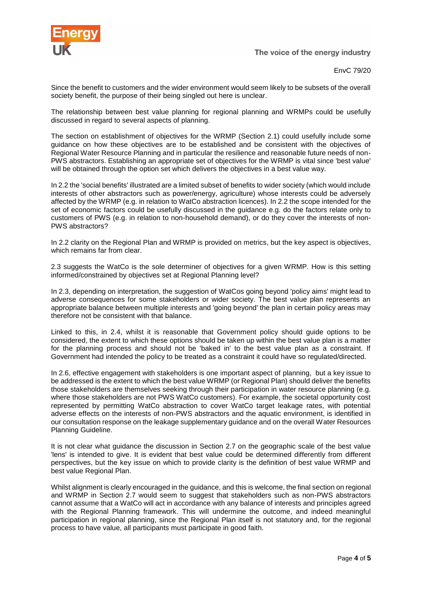

The voice of the energy industry

EnvC 79/20

Since the benefit to customers and the wider environment would seem likely to be subsets of the overall society benefit, the purpose of their being singled out here is unclear.

The relationship between best value planning for regional planning and WRMPs could be usefully discussed in regard to several aspects of planning.

The section on establishment of objectives for the WRMP (Section 2.1) could usefully include some guidance on how these objectives are to be established and be consistent with the objectives of Regional Water Resource Planning and in particular the resilience and reasonable future needs of non-PWS abstractors. Establishing an appropriate set of objectives for the WRMP is vital since 'best value' will be obtained through the option set which delivers the objectives in a best value way.

In 2.2 the 'social benefits' illustrated are a limited subset of benefits to wider society (which would include interests of other abstractors such as power/energy, agriculture) whose interests could be adversely affected by the WRMP (e.g. in relation to WatCo abstraction licences). In 2.2 the scope intended for the set of economic factors could be usefully discussed in the guidance e.g. do the factors relate only to customers of PWS (e.g. in relation to non-household demand), or do they cover the interests of non-PWS abstractors?

In 2.2 clarity on the Regional Plan and WRMP is provided on metrics, but the key aspect is objectives, which remains far from clear.

2.3 suggests the WatCo is the sole determiner of objectives for a given WRMP. How is this setting informed/constrained by objectives set at Regional Planning level?

In 2.3, depending on interpretation, the suggestion of WatCos going beyond 'policy aims' might lead to adverse consequences for some stakeholders or wider society. The best value plan represents an appropriate balance between multiple interests and 'going beyond' the plan in certain policy areas may therefore not be consistent with that balance.

Linked to this, in 2.4, whilst it is reasonable that Government policy should guide options to be considered, the extent to which these options should be taken up within the best value plan is a matter for the planning process and should not be 'baked in' to the best value plan as a constraint. If Government had intended the policy to be treated as a constraint it could have so regulated/directed.

In 2.6, effective engagement with stakeholders is one important aspect of planning, but a key issue to be addressed is the extent to which the best value WRMP (or Regional Plan) should deliver the benefits those stakeholders are themselves seeking through their participation in water resource planning (e.g. where those stakeholders are not PWS WatCo customers). For example, the societal opportunity cost represented by permitting WatCo abstraction to cover WatCo target leakage rates, with potential adverse effects on the interests of non-PWS abstractors and the aquatic environment, is identified in our consultation response on the leakage supplementary guidance and on the overall Water Resources Planning Guideline.

It is not clear what guidance the discussion in Section 2.7 on the geographic scale of the best value 'lens' is intended to give. It is evident that best value could be determined differently from different perspectives, but the key issue on which to provide clarity is the definition of best value WRMP and best value Regional Plan.

Whilst alignment is clearly encouraged in the guidance, and this is welcome, the final section on regional and WRMP in Section 2.7 would seem to suggest that stakeholders such as non-PWS abstractors cannot assume that a WatCo will act in accordance with any balance of interests and principles agreed with the Regional Planning framework. This will undermine the outcome, and indeed meaningful participation in regional planning, since the Regional Plan itself is not statutory and, for the regional process to have value, all participants must participate in good faith.